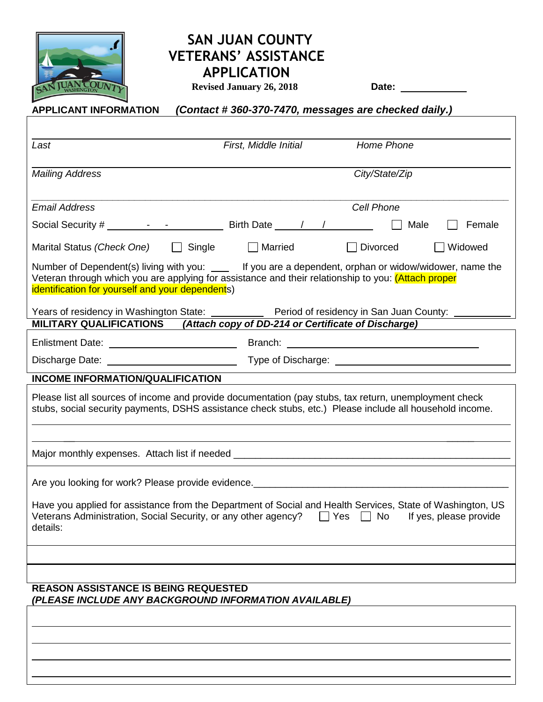

## **SAN JUAN COUNTY VETERANS' ASSISTANCE APPLICATION**

 **Revised January 26, 2018 Date:** 

 $\overline{a}$ 

| (Contact #360-370-7470, messages are checked daily.)<br><b>APPLICANT INFORMATION</b>                                                                                                                                                                               |
|--------------------------------------------------------------------------------------------------------------------------------------------------------------------------------------------------------------------------------------------------------------------|
|                                                                                                                                                                                                                                                                    |
| <b>Home Phone</b><br>Last<br>First, Middle Initial                                                                                                                                                                                                                 |
| City/State/Zip<br><b>Mailing Address</b>                                                                                                                                                                                                                           |
| <b>Email Address</b><br>Cell Phone                                                                                                                                                                                                                                 |
| Female<br>Male                                                                                                                                                                                                                                                     |
| $\Box$ Widowed<br>Marital Status (Check One) $\Box$ Single<br>  Married<br>Divorced<br>$\mathbf{L}$                                                                                                                                                                |
| Number of Dependent(s) living with you: _____ If you are a dependent, orphan or widow/widower, name the<br>Veteran through which you are applying for assistance and their relationship to you: (Attach proper<br>identification for yourself and your dependents) |
| Years of residency in Washington State: _____________ Period of residency in San Juan County: ______                                                                                                                                                               |
| MILITARY QUALIFICATIONS (Attach copy of DD-214 or Certificate of Discharge)                                                                                                                                                                                        |
| Branch: <u>International Contract Contract Contract Contract Contract Contract Contract Contract Contract Contract Contract Contract Contract Contract Contract Contract Contract Contract Contract Contract Contract Contract C</u>                               |
| Type of Discharge: <u>contained</u> and the state of the state of the state of the state of the state of the state of the state of the state of the state of the state of the state of the state of the state of the state of the s                                |
| <b>INCOME INFORMATION/QUALIFICATION</b>                                                                                                                                                                                                                            |
| Please list all sources of income and provide documentation (pay stubs, tax return, unemployment check<br>stubs, social security payments, DSHS assistance check stubs, etc.) Please include all household income.                                                 |
|                                                                                                                                                                                                                                                                    |
| Are you looking for work? Please provide evidence.______________________________                                                                                                                                                                                   |
| Have you applied for assistance from the Department of Social and Health Services, State of Washington, US<br>Veterans Administration, Social Security, or any other agency?<br>$\Box$ Yes $\Box$ No<br>If yes, please provide<br>details:                         |
|                                                                                                                                                                                                                                                                    |
|                                                                                                                                                                                                                                                                    |
| <b>REASON ASSISTANCE IS BEING REQUESTED</b><br>(PLEASE INCLUDE ANY BACKGROUND INFORMATION AVAILABLE)                                                                                                                                                               |